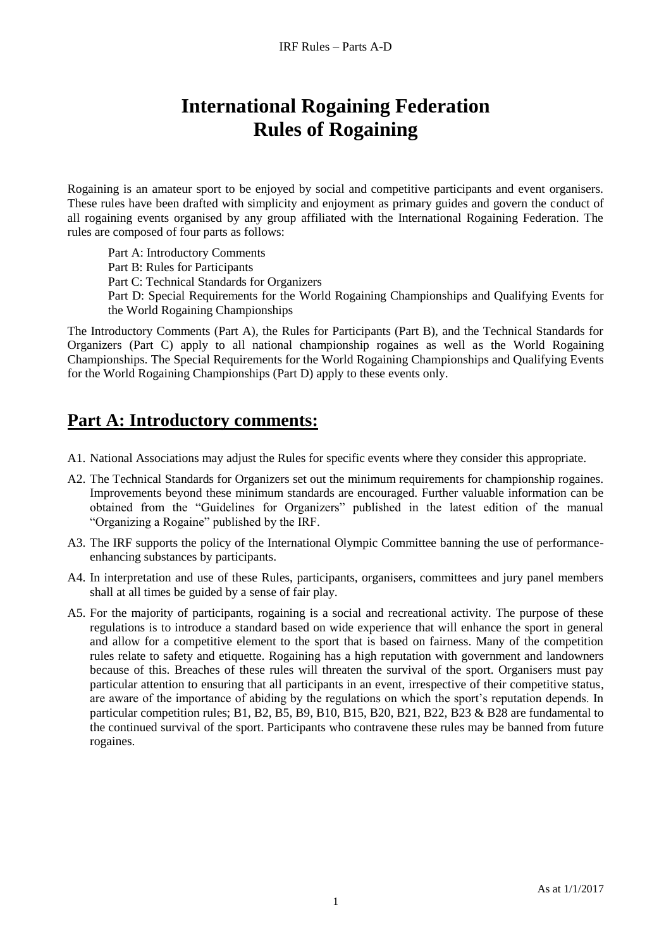# **International Rogaining Federation Rules of Rogaining**

Rogaining is an amateur sport to be enjoyed by social and competitive participants and event organisers. These rules have been drafted with simplicity and enjoyment as primary guides and govern the conduct of all rogaining events organised by any group affiliated with the International Rogaining Federation. The rules are composed of four parts as follows:

Part A: Introductory Comments Part B: Rules for Participants Part C: Technical Standards for Organizers Part D: Special Requirements for the World Rogaining Championships and Qualifying Events for the World Rogaining Championships

The Introductory Comments (Part A), the Rules for Participants (Part B), and the Technical Standards for Organizers (Part C) apply to all national championship rogaines as well as the World Rogaining Championships. The Special Requirements for the World Rogaining Championships and Qualifying Events for the World Rogaining Championships (Part D) apply to these events only.

## **Part A: Introductory comments:**

- A1. National Associations may adjust the Rules for specific events where they consider this appropriate.
- A2. The Technical Standards for Organizers set out the minimum requirements for championship rogaines. Improvements beyond these minimum standards are encouraged. Further valuable information can be obtained from the "Guidelines for Organizers" published in the latest edition of the manual "Organizing a Rogaine" published by the IRF.
- A3. The IRF supports the policy of the International Olympic Committee banning the use of performanceenhancing substances by participants.
- A4. In interpretation and use of these Rules, participants, organisers, committees and jury panel members shall at all times be guided by a sense of fair play.
- A5. For the majority of participants, rogaining is a social and recreational activity. The purpose of these regulations is to introduce a standard based on wide experience that will enhance the sport in general and allow for a competitive element to the sport that is based on fairness. Many of the competition rules relate to safety and etiquette. Rogaining has a high reputation with government and landowners because of this. Breaches of these rules will threaten the survival of the sport. Organisers must pay particular attention to ensuring that all participants in an event, irrespective of their competitive status, are aware of the importance of abiding by the regulations on which the sport's reputation depends. In particular competition rules; B1, B2, B5, B9, B10, B15, B20, B21, B22, B23 & B28 are fundamental to the continued survival of the sport. Participants who contravene these rules may be banned from future rogaines.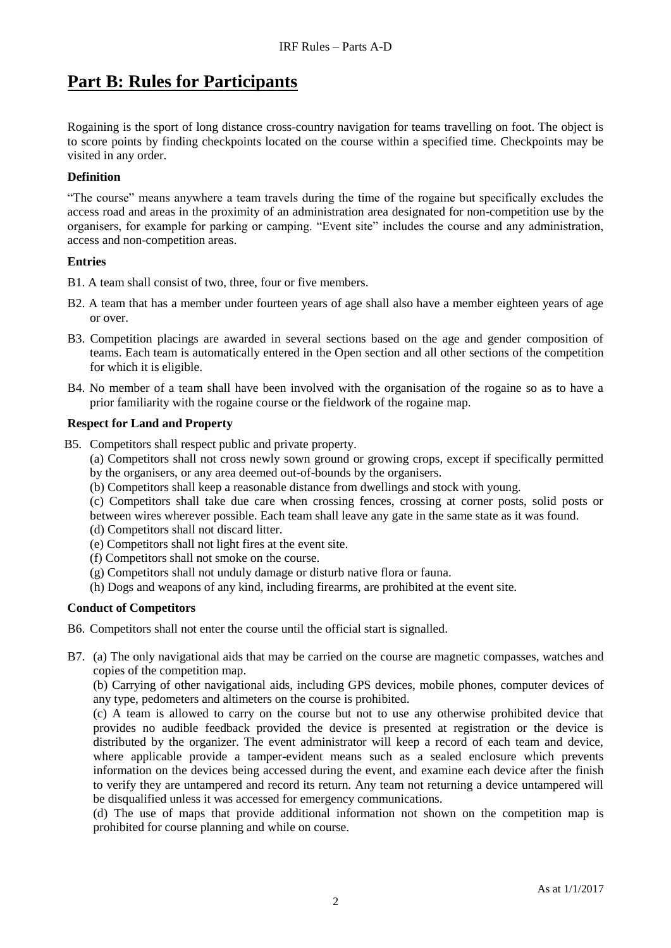# **Part B: Rules for Participants**

Rogaining is the sport of long distance cross-country navigation for teams travelling on foot. The object is to score points by finding checkpoints located on the course within a specified time. Checkpoints may be visited in any order.

## **Definition**

"The course" means anywhere a team travels during the time of the rogaine but specifically excludes the access road and areas in the proximity of an administration area designated for non-competition use by the organisers, for example for parking or camping. "Event site" includes the course and any administration, access and non-competition areas.

### **Entries**

- B1. A team shall consist of two, three, four or five members.
- B2. A team that has a member under fourteen years of age shall also have a member eighteen years of age or over.
- B3. Competition placings are awarded in several sections based on the age and gender composition of teams. Each team is automatically entered in the Open section and all other sections of the competition for which it is eligible.
- B4. No member of a team shall have been involved with the organisation of the rogaine so as to have a prior familiarity with the rogaine course or the fieldwork of the rogaine map.

## **Respect for Land and Property**

- B5. Competitors shall respect public and private property.
	- (a) Competitors shall not cross newly sown ground or growing crops, except if specifically permitted by the organisers, or any area deemed out-of-bounds by the organisers.
	- (b) Competitors shall keep a reasonable distance from dwellings and stock with young.
	- (c) Competitors shall take due care when crossing fences, crossing at corner posts, solid posts or between wires wherever possible. Each team shall leave any gate in the same state as it was found.
	- (d) Competitors shall not discard litter.
	- (e) Competitors shall not light fires at the event site.
	- (f) Competitors shall not smoke on the course.
	- (g) Competitors shall not unduly damage or disturb native flora or fauna.
	- (h) Dogs and weapons of any kind, including firearms, are prohibited at the event site.

### **Conduct of Competitors**

- B6. Competitors shall not enter the course until the official start is signalled.
- B7. (a) The only navigational aids that may be carried on the course are magnetic compasses, watches and copies of the competition map.

(b) Carrying of other navigational aids, including GPS devices, mobile phones, computer devices of any type, pedometers and altimeters on the course is prohibited.

(c) A team is allowed to carry on the course but not to use any otherwise prohibited device that provides no audible feedback provided the device is presented at registration or the device is distributed by the organizer. The event administrator will keep a record of each team and device, where applicable provide a tamper-evident means such as a sealed enclosure which prevents information on the devices being accessed during the event, and examine each device after the finish to verify they are untampered and record its return. Any team not returning a device untampered will be disqualified unless it was accessed for emergency communications.

(d) The use of maps that provide additional information not shown on the competition map is prohibited for course planning and while on course.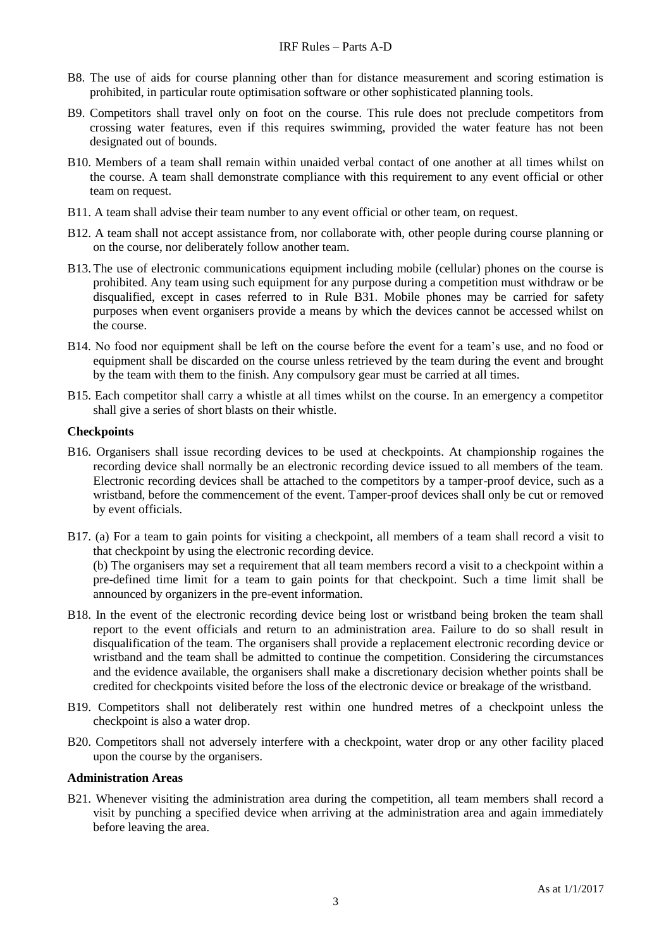- B8. The use of aids for course planning other than for distance measurement and scoring estimation is prohibited, in particular route optimisation software or other sophisticated planning tools.
- B9. Competitors shall travel only on foot on the course. This rule does not preclude competitors from crossing water features, even if this requires swimming, provided the water feature has not been designated out of bounds.
- B10. Members of a team shall remain within unaided verbal contact of one another at all times whilst on the course. A team shall demonstrate compliance with this requirement to any event official or other team on request.
- B11. A team shall advise their team number to any event official or other team, on request.
- B12. A team shall not accept assistance from, nor collaborate with, other people during course planning or on the course, nor deliberately follow another team.
- B13.The use of electronic communications equipment including mobile (cellular) phones on the course is prohibited. Any team using such equipment for any purpose during a competition must withdraw or be disqualified, except in cases referred to in Rule B31. Mobile phones may be carried for safety purposes when event organisers provide a means by which the devices cannot be accessed whilst on the course.
- B14. No food nor equipment shall be left on the course before the event for a team's use, and no food or equipment shall be discarded on the course unless retrieved by the team during the event and brought by the team with them to the finish. Any compulsory gear must be carried at all times.
- B15. Each competitor shall carry a whistle at all times whilst on the course. In an emergency a competitor shall give a series of short blasts on their whistle.

#### **Checkpoints**

- B16. Organisers shall issue recording devices to be used at checkpoints. At championship rogaines the recording device shall normally be an electronic recording device issued to all members of the team. Electronic recording devices shall be attached to the competitors by a tamper-proof device, such as a wristband, before the commencement of the event. Tamper-proof devices shall only be cut or removed by event officials.
- B17. (a) For a team to gain points for visiting a checkpoint, all members of a team shall record a visit to that checkpoint by using the electronic recording device. (b) The organisers may set a requirement that all team members record a visit to a checkpoint within a pre-defined time limit for a team to gain points for that checkpoint. Such a time limit shall be announced by organizers in the pre-event information.
- B18. In the event of the electronic recording device being lost or wristband being broken the team shall report to the event officials and return to an administration area. Failure to do so shall result in disqualification of the team. The organisers shall provide a replacement electronic recording device or wristband and the team shall be admitted to continue the competition. Considering the circumstances and the evidence available, the organisers shall make a discretionary decision whether points shall be credited for checkpoints visited before the loss of the electronic device or breakage of the wristband.
- B19. Competitors shall not deliberately rest within one hundred metres of a checkpoint unless the checkpoint is also a water drop.
- B20. Competitors shall not adversely interfere with a checkpoint, water drop or any other facility placed upon the course by the organisers.

#### **Administration Areas**

B21. Whenever visiting the administration area during the competition, all team members shall record a visit by punching a specified device when arriving at the administration area and again immediately before leaving the area.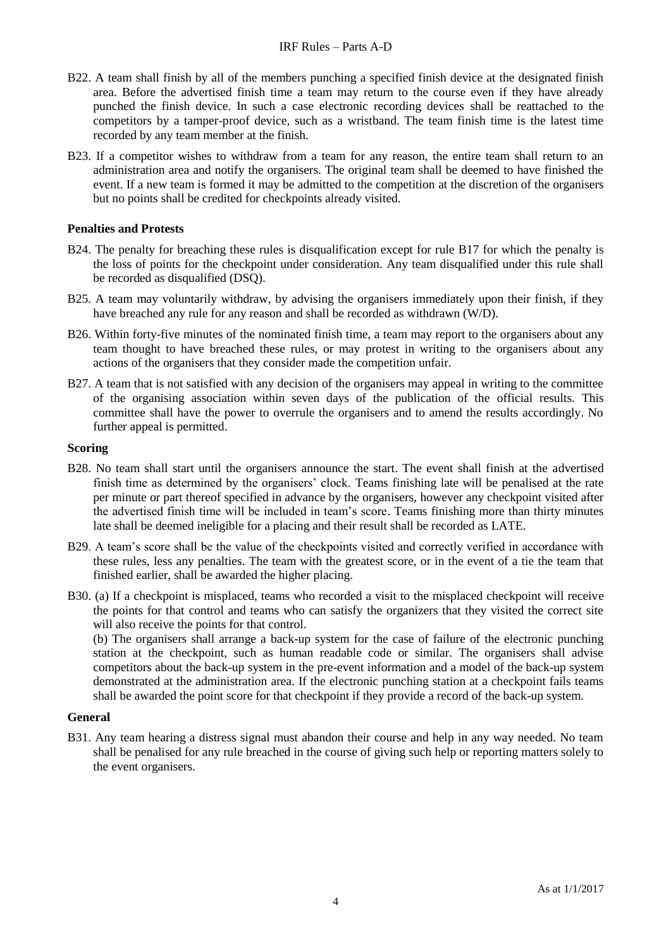#### IRF Rules – Parts A-D

- B22. A team shall finish by all of the members punching a specified finish device at the designated finish area. Before the advertised finish time a team may return to the course even if they have already punched the finish device. In such a case electronic recording devices shall be reattached to the competitors by a tamper-proof device, such as a wristband. The team finish time is the latest time recorded by any team member at the finish.
- B23. If a competitor wishes to withdraw from a team for any reason, the entire team shall return to an administration area and notify the organisers. The original team shall be deemed to have finished the event. If a new team is formed it may be admitted to the competition at the discretion of the organisers but no points shall be credited for checkpoints already visited.

#### **Penalties and Protests**

- B24. The penalty for breaching these rules is disqualification except for rule B17 for which the penalty is the loss of points for the checkpoint under consideration. Any team disqualified under this rule shall be recorded as disqualified (DSQ).
- B25. A team may voluntarily withdraw, by advising the organisers immediately upon their finish, if they have breached any rule for any reason and shall be recorded as withdrawn (W/D).
- B26. Within forty-five minutes of the nominated finish time, a team may report to the organisers about any team thought to have breached these rules, or may protest in writing to the organisers about any actions of the organisers that they consider made the competition unfair.
- B27. A team that is not satisfied with any decision of the organisers may appeal in writing to the committee of the organising association within seven days of the publication of the official results. This committee shall have the power to overrule the organisers and to amend the results accordingly. No further appeal is permitted.

#### **Scoring**

- B28. No team shall start until the organisers announce the start. The event shall finish at the advertised finish time as determined by the organisers' clock. Teams finishing late will be penalised at the rate per minute or part thereof specified in advance by the organisers, however any checkpoint visited after the advertised finish time will be included in team's score. Teams finishing more than thirty minutes late shall be deemed ineligible for a placing and their result shall be recorded as LATE.
- B29. A team's score shall be the value of the checkpoints visited and correctly verified in accordance with these rules, less any penalties. The team with the greatest score, or in the event of a tie the team that finished earlier, shall be awarded the higher placing.
- B30. (a) If a checkpoint is misplaced, teams who recorded a visit to the misplaced checkpoint will receive the points for that control and teams who can satisfy the organizers that they visited the correct site will also receive the points for that control.

(b) The organisers shall arrange a back-up system for the case of failure of the electronic punching station at the checkpoint, such as human readable code or similar. The organisers shall advise competitors about the back-up system in the pre-event information and a model of the back-up system demonstrated at the administration area. If the electronic punching station at a checkpoint fails teams shall be awarded the point score for that checkpoint if they provide a record of the back-up system.

#### **General**

B31. Any team hearing a distress signal must abandon their course and help in any way needed. No team shall be penalised for any rule breached in the course of giving such help or reporting matters solely to the event organisers.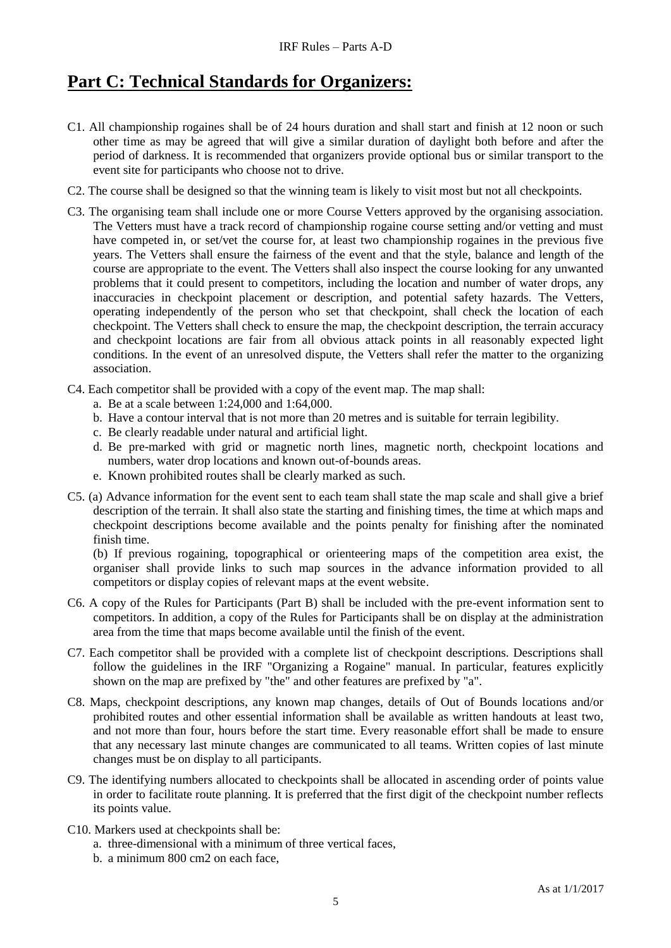# **Part C: Technical Standards for Organizers:**

- C1. All championship rogaines shall be of 24 hours duration and shall start and finish at 12 noon or such other time as may be agreed that will give a similar duration of daylight both before and after the period of darkness. It is recommended that organizers provide optional bus or similar transport to the event site for participants who choose not to drive.
- C2. The course shall be designed so that the winning team is likely to visit most but not all checkpoints.
- C3. The organising team shall include one or more Course Vetters approved by the organising association. The Vetters must have a track record of championship rogaine course setting and/or vetting and must have competed in, or set/vet the course for, at least two championship rogaines in the previous five years. The Vetters shall ensure the fairness of the event and that the style, balance and length of the course are appropriate to the event. The Vetters shall also inspect the course looking for any unwanted problems that it could present to competitors, including the location and number of water drops, any inaccuracies in checkpoint placement or description, and potential safety hazards. The Vetters, operating independently of the person who set that checkpoint, shall check the location of each checkpoint. The Vetters shall check to ensure the map, the checkpoint description, the terrain accuracy and checkpoint locations are fair from all obvious attack points in all reasonably expected light conditions. In the event of an unresolved dispute, the Vetters shall refer the matter to the organizing association.
- C4. Each competitor shall be provided with a copy of the event map. The map shall:
	- a. Be at a scale between 1:24,000 and 1:64,000.
	- b. Have a contour interval that is not more than 20 metres and is suitable for terrain legibility.
	- c. Be clearly readable under natural and artificial light.
	- d. Be pre-marked with grid or magnetic north lines, magnetic north, checkpoint locations and numbers, water drop locations and known out-of-bounds areas.
	- e. Known prohibited routes shall be clearly marked as such.
- C5. (a) Advance information for the event sent to each team shall state the map scale and shall give a brief description of the terrain. It shall also state the starting and finishing times, the time at which maps and checkpoint descriptions become available and the points penalty for finishing after the nominated finish time.

(b) If previous rogaining, topographical or orienteering maps of the competition area exist, the organiser shall provide links to such map sources in the advance information provided to all competitors or display copies of relevant maps at the event website.

- C6. A copy of the Rules for Participants (Part B) shall be included with the pre-event information sent to competitors. In addition, a copy of the Rules for Participants shall be on display at the administration area from the time that maps become available until the finish of the event.
- C7. Each competitor shall be provided with a complete list of checkpoint descriptions. Descriptions shall follow the guidelines in the IRF "Organizing a Rogaine" manual. In particular, features explicitly shown on the map are prefixed by "the" and other features are prefixed by "a".
- C8. Maps, checkpoint descriptions, any known map changes, details of Out of Bounds locations and/or prohibited routes and other essential information shall be available as written handouts at least two, and not more than four, hours before the start time. Every reasonable effort shall be made to ensure that any necessary last minute changes are communicated to all teams. Written copies of last minute changes must be on display to all participants.
- C9. The identifying numbers allocated to checkpoints shall be allocated in ascending order of points value in order to facilitate route planning. It is preferred that the first digit of the checkpoint number reflects its points value.
- C10. Markers used at checkpoints shall be:
	- a. three-dimensional with a minimum of three vertical faces,
	- b. a minimum 800 cm2 on each face,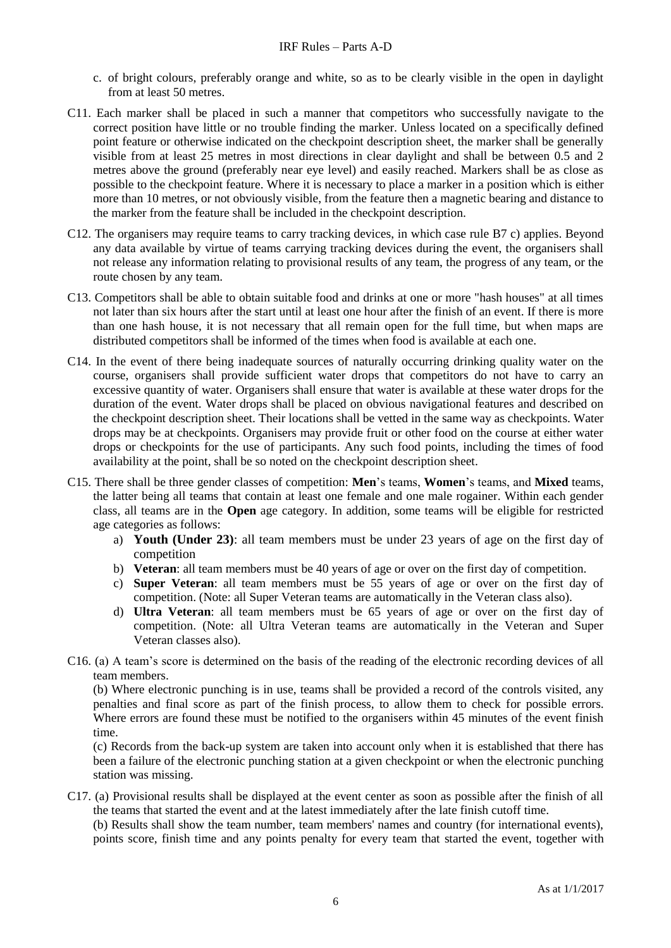- c. of bright colours, preferably orange and white, so as to be clearly visible in the open in daylight from at least 50 metres.
- C11. Each marker shall be placed in such a manner that competitors who successfully navigate to the correct position have little or no trouble finding the marker. Unless located on a specifically defined point feature or otherwise indicated on the checkpoint description sheet, the marker shall be generally visible from at least 25 metres in most directions in clear daylight and shall be between 0.5 and 2 metres above the ground (preferably near eye level) and easily reached. Markers shall be as close as possible to the checkpoint feature. Where it is necessary to place a marker in a position which is either more than 10 metres, or not obviously visible, from the feature then a magnetic bearing and distance to the marker from the feature shall be included in the checkpoint description.
- C12. The organisers may require teams to carry tracking devices, in which case rule B7 c) applies. Beyond any data available by virtue of teams carrying tracking devices during the event, the organisers shall not release any information relating to provisional results of any team, the progress of any team, or the route chosen by any team.
- C13. Competitors shall be able to obtain suitable food and drinks at one or more "hash houses" at all times not later than six hours after the start until at least one hour after the finish of an event. If there is more than one hash house, it is not necessary that all remain open for the full time, but when maps are distributed competitors shall be informed of the times when food is available at each one.
- C14. In the event of there being inadequate sources of naturally occurring drinking quality water on the course, organisers shall provide sufficient water drops that competitors do not have to carry an excessive quantity of water. Organisers shall ensure that water is available at these water drops for the duration of the event. Water drops shall be placed on obvious navigational features and described on the checkpoint description sheet. Their locations shall be vetted in the same way as checkpoints. Water drops may be at checkpoints. Organisers may provide fruit or other food on the course at either water drops or checkpoints for the use of participants. Any such food points, including the times of food availability at the point, shall be so noted on the checkpoint description sheet.
- C15. There shall be three gender classes of competition: **Men**'s teams, **Women**'s teams, and **Mixed** teams, the latter being all teams that contain at least one female and one male rogainer. Within each gender class, all teams are in the **Open** age category. In addition, some teams will be eligible for restricted age categories as follows:
	- a) **Youth (Under 23)**: all team members must be under 23 years of age on the first day of competition
	- b) **Veteran**: all team members must be 40 years of age or over on the first day of competition.
	- c) **Super Veteran**: all team members must be 55 years of age or over on the first day of competition. (Note: all Super Veteran teams are automatically in the Veteran class also).
	- d) **Ultra Veteran**: all team members must be 65 years of age or over on the first day of competition. (Note: all Ultra Veteran teams are automatically in the Veteran and Super Veteran classes also).
- C16. (a) A team's score is determined on the basis of the reading of the electronic recording devices of all team members.

(b) Where electronic punching is in use, teams shall be provided a record of the controls visited, any penalties and final score as part of the finish process, to allow them to check for possible errors. Where errors are found these must be notified to the organisers within 45 minutes of the event finish time.

(c) Records from the back-up system are taken into account only when it is established that there has been a failure of the electronic punching station at a given checkpoint or when the electronic punching station was missing.

C17. (a) Provisional results shall be displayed at the event center as soon as possible after the finish of all the teams that started the event and at the latest immediately after the late finish cutoff time.

(b) Results shall show the team number, team members' names and country (for international events), points score, finish time and any points penalty for every team that started the event, together with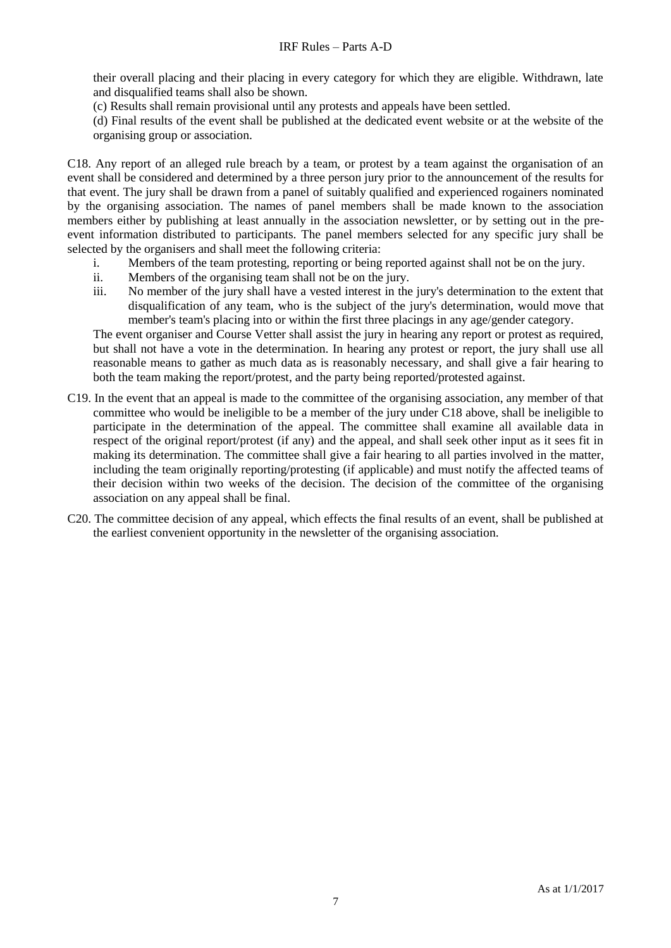their overall placing and their placing in every category for which they are eligible. Withdrawn, late and disqualified teams shall also be shown.

(c) Results shall remain provisional until any protests and appeals have been settled.

(d) Final results of the event shall be published at the dedicated event website or at the website of the organising group or association.

C18. Any report of an alleged rule breach by a team, or protest by a team against the organisation of an event shall be considered and determined by a three person jury prior to the announcement of the results for that event. The jury shall be drawn from a panel of suitably qualified and experienced rogainers nominated by the organising association. The names of panel members shall be made known to the association members either by publishing at least annually in the association newsletter, or by setting out in the preevent information distributed to participants. The panel members selected for any specific jury shall be selected by the organisers and shall meet the following criteria:

- i. Members of the team protesting, reporting or being reported against shall not be on the jury.
- ii. Members of the organising team shall not be on the jury.
- iii. No member of the jury shall have a vested interest in the jury's determination to the extent that disqualification of any team, who is the subject of the jury's determination, would move that member's team's placing into or within the first three placings in any age/gender category.

The event organiser and Course Vetter shall assist the jury in hearing any report or protest as required, but shall not have a vote in the determination. In hearing any protest or report, the jury shall use all reasonable means to gather as much data as is reasonably necessary, and shall give a fair hearing to both the team making the report/protest, and the party being reported/protested against.

- C19. In the event that an appeal is made to the committee of the organising association, any member of that committee who would be ineligible to be a member of the jury under C18 above, shall be ineligible to participate in the determination of the appeal. The committee shall examine all available data in respect of the original report/protest (if any) and the appeal, and shall seek other input as it sees fit in making its determination. The committee shall give a fair hearing to all parties involved in the matter, including the team originally reporting/protesting (if applicable) and must notify the affected teams of their decision within two weeks of the decision. The decision of the committee of the organising association on any appeal shall be final.
- C20. The committee decision of any appeal, which effects the final results of an event, shall be published at the earliest convenient opportunity in the newsletter of the organising association.